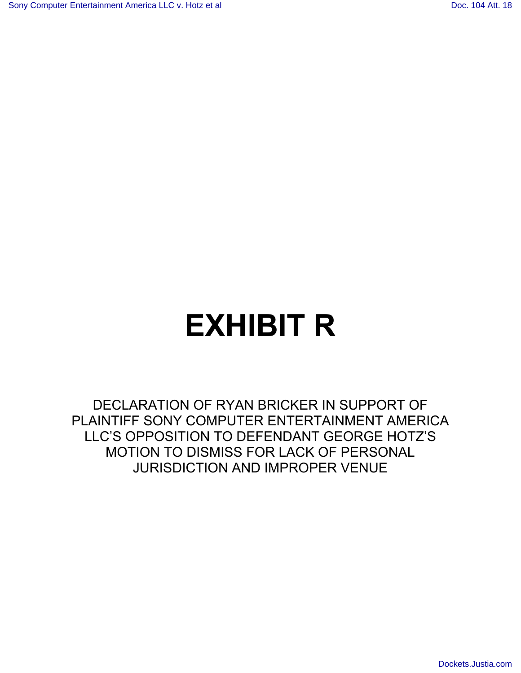# **EXHIBIT R**

DECLARATION OF RYAN BRICKER IN SUPPORT OF PLAINTIFF SONY COMPUTER ENTERTAINMENT AMERICA LLC'S OPPOSITION TO DEFENDANT GEORGE HOTZ'S MOTION TO DISMISS FOR LACK OF PERSONAL JURISDICTION AND IMPROPER VENUE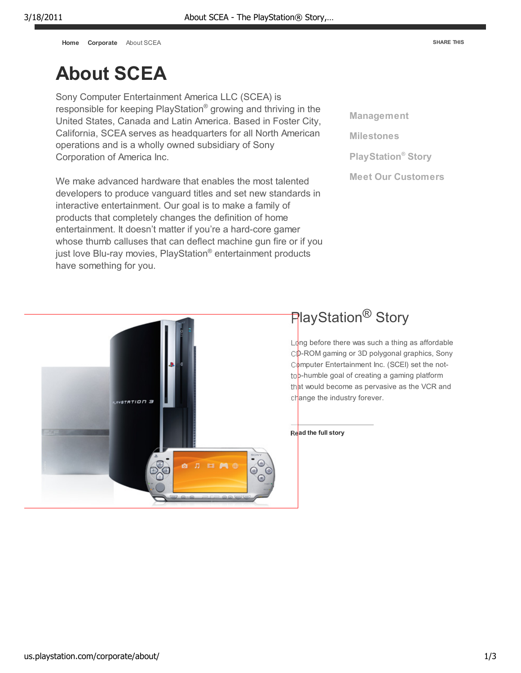**Home Corporate** About SCEA

# **About SCEA**

Sony Computer Entertainment America LLC (SCEA) is responsible for keeping PlayStation® growing and thriving in the United States, Canada and Latin America. Based in Foster City, California, SCEA serves as headquarters for all North American operations and is a wholly owned subsidiary of Sony Corporation of America Inc.

We make advanced hardware that enables the most talented developers to produce vanguard titles and set new standards in interactive entertainment. Our goal is to make a family of products that completely changes the definition of home entertainment. It doesn't matter if you're a hard-core gamer whose thumb calluses that can deflect machine gun fire or if you just love Blu-ray movies, PlayStation® entertainment products have something for you.

**Management Milestones PlayStation® Story Meet Our Customers**



## **PlayStation<sup>®</sup> Story**

 $L_0$ ng before there was such a thing as affordable CD-ROM gaming or 3D polygonal graphics, Sony Computer Entertainment Inc. (SCEI) set the nottop-humble goal of creating a gaming platform that would become as pervasive as the VCR and change the industry forever.

**Read the full story**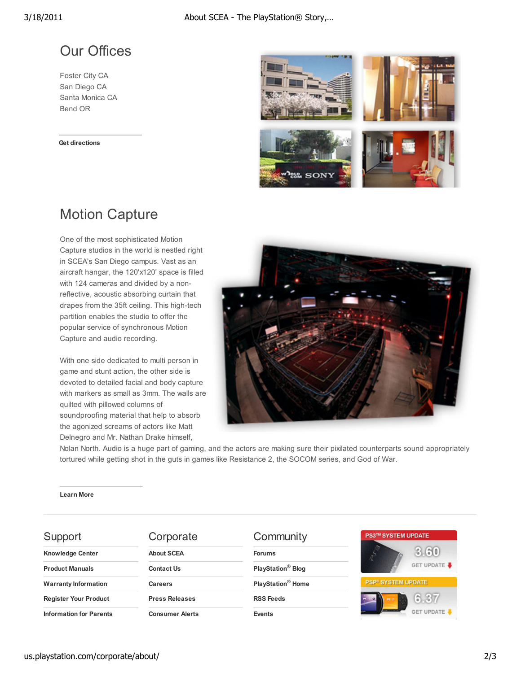#### Our Offices

Foster City CA San Diego CA Santa Monica CA Bend OR

**Get directions**



### Motion Capture

One of the most sophisticated Motion Capture studios in the world is nestled right in SCEA's San Diego campus. Vast as an aircraft hangar, the 120'x120' space is filled with 124 cameras and divided by a nonreflective, acoustic absorbing curtain that drapes from the 35ft ceiling. This high-tech partition enables the studio to offer the popular service of synchronous Motion Capture and audio recording.

With one side dedicated to multi person in game and stunt action, the other side is devoted to detailed facial and body capture with markers as small as 3mm. The walls are quilted with pillowed columns of soundproofing material that help to absorb the agonized screams of actors like Matt Delnegro and Mr. Nathan Drake himself,



Nolan North. Audio is a huge part of gaming, and the actors are making sure their pixilated counterparts sound appropriately tortured while getting shot in the guts in games like Resistance 2, the SOCOM series, and God of War.

**Learn More**

| Support                        | Corporate              | Community                     | <b>PS3™ SYSTEM UPDATE</b>      |
|--------------------------------|------------------------|-------------------------------|--------------------------------|
| <b>Knowledge Center</b>        | <b>About SCEA</b>      | <b>Forums</b>                 | 3.60                           |
| <b>Product Manuals</b>         | <b>Contact Us</b>      | PlayStation <sup>®</sup> Blog | GET UPDATE                     |
| <b>Warranty Information</b>    | <b>Careers</b>         | PlayStation <sup>®</sup> Home | PSP <sup>®</sup> SYSTEM UPDATE |
| <b>Register Your Product</b>   | <b>Press Releases</b>  | <b>RSS Feeds</b>              | 6.37<br>$\circ$                |
| <b>Information for Parents</b> | <b>Consumer Alerts</b> | <b>Events</b>                 | <b>GET UPDATE</b>              |